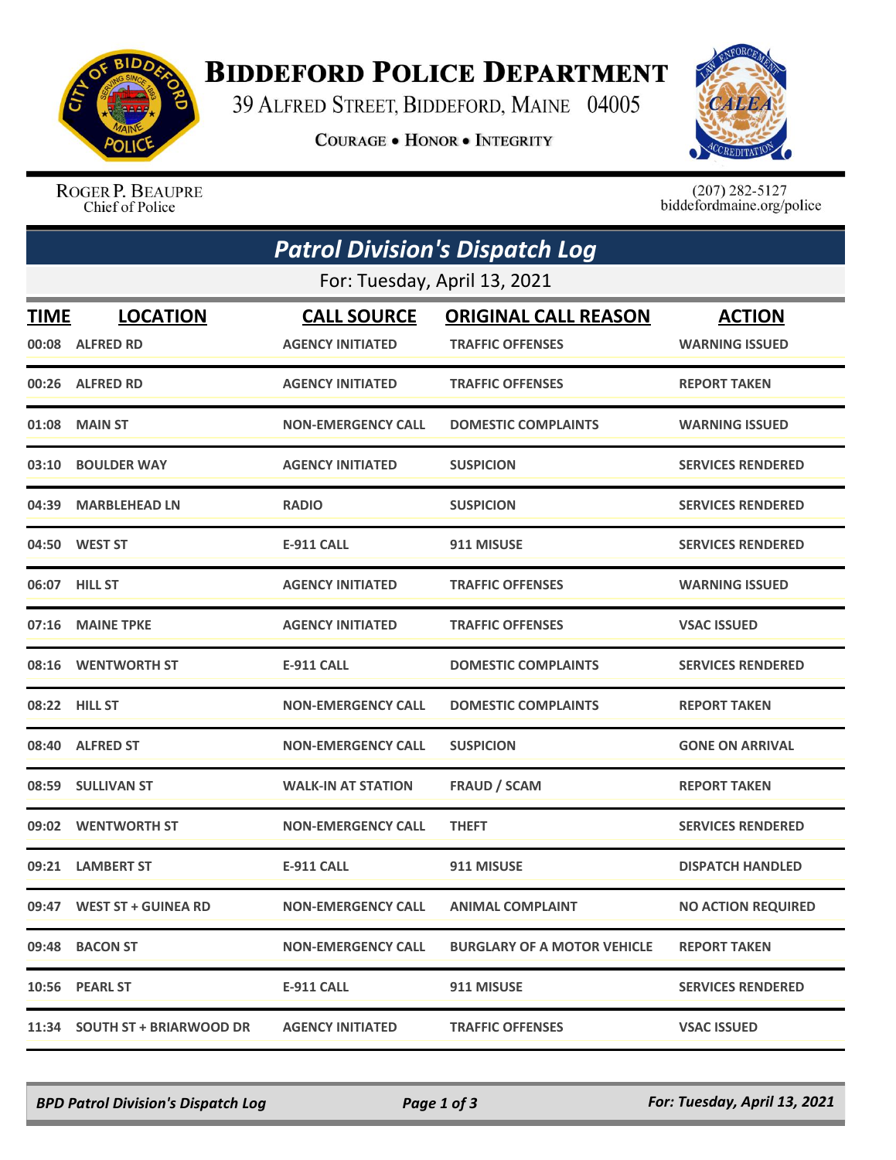

## **BIDDEFORD POLICE DEPARTMENT**

39 ALFRED STREET, BIDDEFORD, MAINE 04005

**COURAGE . HONOR . INTEGRITY** 



ROGER P. BEAUPRE Chief of Police

 $(207)$  282-5127<br>biddefordmaine.org/police

|                              | <b>Patrol Division's Dispatch Log</b> |                           |                                    |                           |  |  |  |
|------------------------------|---------------------------------------|---------------------------|------------------------------------|---------------------------|--|--|--|
| For: Tuesday, April 13, 2021 |                                       |                           |                                    |                           |  |  |  |
| <b>TIME</b>                  | <b>LOCATION</b>                       | <b>CALL SOURCE</b>        | <b>ORIGINAL CALL REASON</b>        | <b>ACTION</b>             |  |  |  |
|                              | 00:08 ALFRED RD                       | <b>AGENCY INITIATED</b>   | <b>TRAFFIC OFFENSES</b>            | <b>WARNING ISSUED</b>     |  |  |  |
|                              | 00:26 ALFRED RD                       | <b>AGENCY INITIATED</b>   | <b>TRAFFIC OFFENSES</b>            | <b>REPORT TAKEN</b>       |  |  |  |
| 01:08                        | <b>MAIN ST</b>                        | <b>NON-EMERGENCY CALL</b> | <b>DOMESTIC COMPLAINTS</b>         | <b>WARNING ISSUED</b>     |  |  |  |
| 03:10                        | <b>BOULDER WAY</b>                    | <b>AGENCY INITIATED</b>   | <b>SUSPICION</b>                   | <b>SERVICES RENDERED</b>  |  |  |  |
| 04:39                        | <b>MARBLEHEAD LN</b>                  | <b>RADIO</b>              | <b>SUSPICION</b>                   | <b>SERVICES RENDERED</b>  |  |  |  |
|                              | 04:50 WEST ST                         | <b>E-911 CALL</b>         | 911 MISUSE                         | <b>SERVICES RENDERED</b>  |  |  |  |
|                              | 06:07 HILL ST                         | <b>AGENCY INITIATED</b>   | <b>TRAFFIC OFFENSES</b>            | <b>WARNING ISSUED</b>     |  |  |  |
| 07:16                        | <b>MAINE TPKE</b>                     | <b>AGENCY INITIATED</b>   | <b>TRAFFIC OFFENSES</b>            | <b>VSAC ISSUED</b>        |  |  |  |
| 08:16                        | <b>WENTWORTH ST</b>                   | <b>E-911 CALL</b>         | <b>DOMESTIC COMPLAINTS</b>         | <b>SERVICES RENDERED</b>  |  |  |  |
| 08:22                        | <b>HILL ST</b>                        | <b>NON-EMERGENCY CALL</b> | <b>DOMESTIC COMPLAINTS</b>         | <b>REPORT TAKEN</b>       |  |  |  |
|                              | 08:40 ALFRED ST                       | <b>NON-EMERGENCY CALL</b> | <b>SUSPICION</b>                   | <b>GONE ON ARRIVAL</b>    |  |  |  |
|                              | 08:59 SULLIVAN ST                     | <b>WALK-IN AT STATION</b> | <b>FRAUD / SCAM</b>                | <b>REPORT TAKEN</b>       |  |  |  |
| 09:02                        | <b>WENTWORTH ST</b>                   | <b>NON-EMERGENCY CALL</b> | <b>THEFT</b>                       | <b>SERVICES RENDERED</b>  |  |  |  |
| 09:21                        | <b>LAMBERT ST</b>                     | <b>E-911 CALL</b>         | 911 MISUSE                         | <b>DISPATCH HANDLED</b>   |  |  |  |
|                              | 09:47 WEST ST + GUINEA RD             | <b>NON-EMERGENCY CALL</b> | <b>ANIMAL COMPLAINT</b>            | <b>NO ACTION REQUIRED</b> |  |  |  |
|                              | 09:48 BACON ST                        | <b>NON-EMERGENCY CALL</b> | <b>BURGLARY OF A MOTOR VEHICLE</b> | <b>REPORT TAKEN</b>       |  |  |  |
|                              | 10:56 PEARL ST                        | <b>E-911 CALL</b>         | 911 MISUSE                         | <b>SERVICES RENDERED</b>  |  |  |  |
|                              | 11:34 SOUTH ST + BRIARWOOD DR         | <b>AGENCY INITIATED</b>   | <b>TRAFFIC OFFENSES</b>            | <b>VSAC ISSUED</b>        |  |  |  |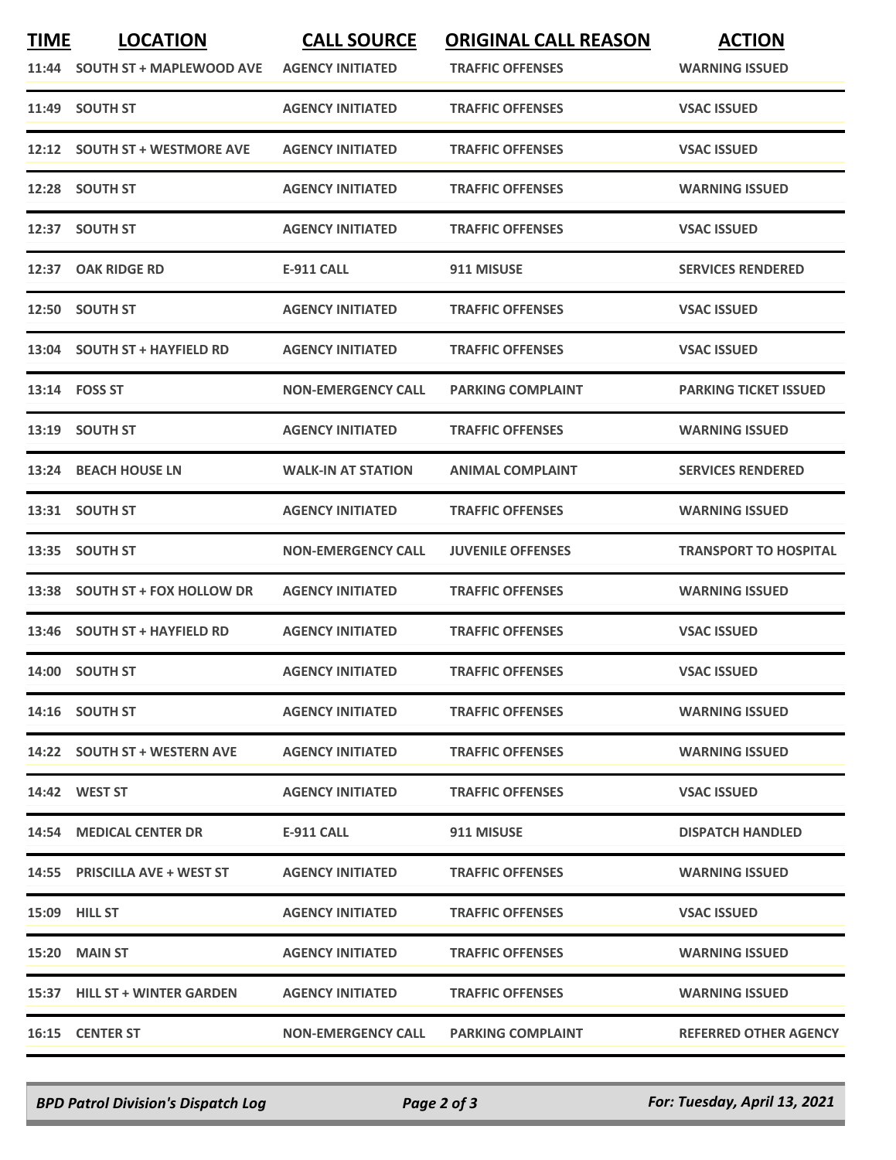| <b>TIME</b> | <b>LOCATION</b>                | <b>CALL SOURCE</b>        | <b>ORIGINAL CALL REASON</b> | <b>ACTION</b>                |
|-------------|--------------------------------|---------------------------|-----------------------------|------------------------------|
|             | 11:44 SOUTH ST + MAPLEWOOD AVE | <b>AGENCY INITIATED</b>   | <b>TRAFFIC OFFENSES</b>     | <b>WARNING ISSUED</b>        |
|             | 11:49 SOUTH ST                 | <b>AGENCY INITIATED</b>   | <b>TRAFFIC OFFENSES</b>     | <b>VSAC ISSUED</b>           |
|             | 12:12 SOUTH ST + WESTMORE AVE  | <b>AGENCY INITIATED</b>   | <b>TRAFFIC OFFENSES</b>     | <b>VSAC ISSUED</b>           |
|             | 12:28 SOUTH ST                 | <b>AGENCY INITIATED</b>   | <b>TRAFFIC OFFENSES</b>     | <b>WARNING ISSUED</b>        |
|             | 12:37 SOUTH ST                 | <b>AGENCY INITIATED</b>   | <b>TRAFFIC OFFENSES</b>     | <b>VSAC ISSUED</b>           |
|             | 12:37 OAK RIDGE RD             | <b>E-911 CALL</b>         | 911 MISUSE                  | <b>SERVICES RENDERED</b>     |
|             | 12:50 SOUTH ST                 | <b>AGENCY INITIATED</b>   | <b>TRAFFIC OFFENSES</b>     | <b>VSAC ISSUED</b>           |
|             | 13:04 SOUTH ST + HAYFIELD RD   | <b>AGENCY INITIATED</b>   | <b>TRAFFIC OFFENSES</b>     | <b>VSAC ISSUED</b>           |
|             | 13:14 FOSS ST                  | <b>NON-EMERGENCY CALL</b> | <b>PARKING COMPLAINT</b>    | <b>PARKING TICKET ISSUED</b> |
|             | 13:19 SOUTH ST                 | <b>AGENCY INITIATED</b>   | <b>TRAFFIC OFFENSES</b>     | <b>WARNING ISSUED</b>        |
|             | 13:24 BEACH HOUSE LN           | <b>WALK-IN AT STATION</b> | <b>ANIMAL COMPLAINT</b>     | <b>SERVICES RENDERED</b>     |
|             | 13:31 SOUTH ST                 | <b>AGENCY INITIATED</b>   | <b>TRAFFIC OFFENSES</b>     | <b>WARNING ISSUED</b>        |
|             | 13:35 SOUTH ST                 | <b>NON-EMERGENCY CALL</b> | <b>JUVENILE OFFENSES</b>    | <b>TRANSPORT TO HOSPITAL</b> |
|             | 13:38 SOUTH ST + FOX HOLLOW DR | <b>AGENCY INITIATED</b>   | <b>TRAFFIC OFFENSES</b>     | <b>WARNING ISSUED</b>        |
|             | 13:46 SOUTH ST + HAYFIELD RD   | <b>AGENCY INITIATED</b>   | <b>TRAFFIC OFFENSES</b>     | <b>VSAC ISSUED</b>           |
|             | 14:00 SOUTH ST                 | <b>AGENCY INITIATED</b>   | <b>TRAFFIC OFFENSES</b>     | <b>VSAC ISSUED</b>           |
|             | 14:16 SOUTH ST                 | <b>AGENCY INITIATED</b>   | <b>TRAFFIC OFFENSES</b>     | <b>WARNING ISSUED</b>        |
|             | 14:22 SOUTH ST + WESTERN AVE   | <b>AGENCY INITIATED</b>   | <b>TRAFFIC OFFENSES</b>     | <b>WARNING ISSUED</b>        |
|             | 14:42 WEST ST                  | <b>AGENCY INITIATED</b>   | <b>TRAFFIC OFFENSES</b>     | <b>VSAC ISSUED</b>           |
|             | 14:54 MEDICAL CENTER DR        | E-911 CALL                | 911 MISUSE                  | <b>DISPATCH HANDLED</b>      |
|             | 14:55 PRISCILLA AVE + WEST ST  | <b>AGENCY INITIATED</b>   | <b>TRAFFIC OFFENSES</b>     | <b>WARNING ISSUED</b>        |
|             | 15:09 HILL ST                  | <b>AGENCY INITIATED</b>   | <b>TRAFFIC OFFENSES</b>     | <b>VSAC ISSUED</b>           |
|             | 15:20 MAIN ST                  | <b>AGENCY INITIATED</b>   | <b>TRAFFIC OFFENSES</b>     | <b>WARNING ISSUED</b>        |
|             | 15:37 HILL ST + WINTER GARDEN  | <b>AGENCY INITIATED</b>   | <b>TRAFFIC OFFENSES</b>     | <b>WARNING ISSUED</b>        |
|             | 16:15 CENTER ST                | <b>NON-EMERGENCY CALL</b> | <b>PARKING COMPLAINT</b>    | <b>REFERRED OTHER AGENCY</b> |

*BPD Patrol Division's Dispatch Log Page 2 of 3 For: Tuesday, April 13, 2021*